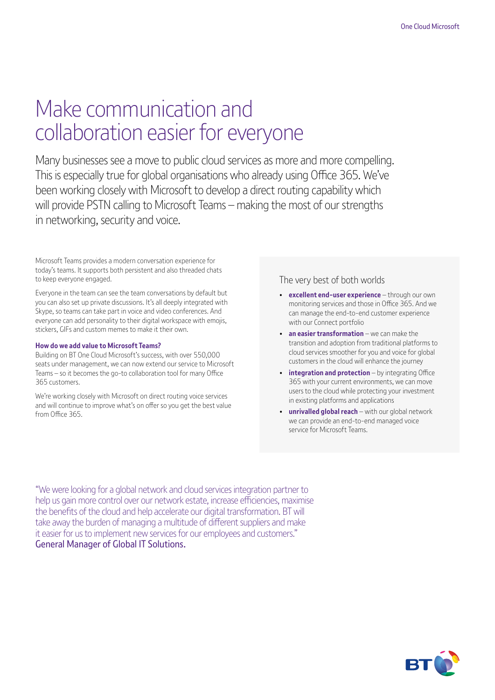# Make communication and collaboration easier for everyone

Many businesses see a move to public cloud services as more and more compelling. This is especially true for global organisations who already using Office 365. We've been working closely with Microsoft to develop a direct routing capability which will provide PSTN calling to Microsoft Teams – making the most of our strengths in networking, security and voice.

Microsoft Teams provides a modern conversation experience for today's teams. It supports both persistent and also threaded chats to keep everyone engaged.

Everyone in the team can see the team conversations by default but you can also set up private discussions. It's all deeply integrated with Skype, so teams can take part in voice and video conferences. And everyone can add personality to their digital workspace with emojis, stickers, GIFs and custom memes to make it their own.

#### **How do we add value to Microsoft Teams?**

Building on BT One Cloud Microsoft's success, with over 550,000 seats under management, we can now extend our service to Microsoft Teams – so it becomes the go-to collaboration tool for many Office 365 customers.

We're working closely with Microsoft on direct routing voice services and will continue to improve what's on offer so you get the best value from Office 365.

### The very best of both worlds

- **excellent end-user experience** through our own monitoring services and those in Office 365. And we can manage the end-to-end customer experience with our Connect portfolio
- **an easier transformation** we can make the transition and adoption from traditional platforms to cloud services smoother for you and voice for global customers in the cloud will enhance the journey
- **integration and protection** by integrating Office 365 with your current environments, we can move users to the cloud while protecting your investment in existing platforms and applications
- **unrivalled global reach** with our global network we can provide an end-to-end managed voice service for Microsoft Teams.

"We were looking for a global network and cloud services integration partner to help us gain more control over our network estate, increase efficiencies, maximise the benefits of the cloud and help accelerate our digital transformation. BT will take away the burden of managing a multitude of different suppliers and make it easier for us to implement new services for our employees and customers." General Manager of Global IT Solutions.